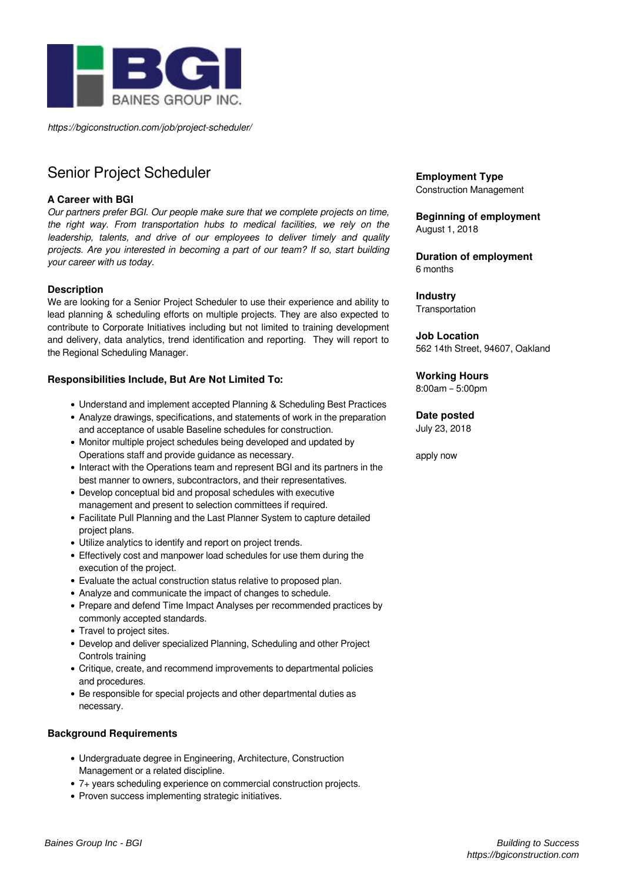

*https://bgiconstruction.com/job/project-scheduler/*

# Senior Project Scheduler

## **A Career with BGI**

*Our partners prefer BGI. Our people make sure that we complete projects on time, the right way. From transportation hubs to medical facilities, we rely on the leadership, talents, and drive of our employees to deliver timely and quality projects. Are you interested in becoming a part of our team? If so, start building your career with us today.*

#### **Description**

We are looking for a Senior Project Scheduler to use their experience and ability to lead planning & scheduling efforts on multiple projects. They are also expected to contribute to Corporate Initiatives including but not limited to training development and delivery, data analytics, trend identification and reporting. They will report to the Regional Scheduling Manager.

### **Responsibilities Include, But Are Not Limited To:**

- Understand and implement accepted Planning & Scheduling Best Practices
- Analyze drawings, specifications, and statements of work in the preparation
- and acceptance of usable Baseline schedules for construction.
- Monitor multiple project schedules being developed and updated by Operations staff and provide guidance as necessary.
- Interact with the Operations team and represent BGI and its partners in the best manner to owners, subcontractors, and their representatives.
- Develop conceptual bid and proposal schedules with executive management and present to selection committees if required.
- Facilitate Pull Planning and the Last Planner System to capture detailed project plans.
- Utilize analytics to identify and report on project trends.
- Effectively cost and manpower load schedules for use them during the execution of the project.
- Evaluate the actual construction status relative to proposed plan.
- Analyze and communicate the impact of changes to schedule.
- Prepare and defend Time Impact Analyses per recommended practices by commonly accepted standards.
- Travel to project sites.
- Develop and deliver specialized Planning, Scheduling and other Project Controls training
- Critique, create, and recommend improvements to departmental policies and procedures.
- Be responsible for special projects and other departmental duties as necessary.

#### **Background Requirements**

- Undergraduate degree in Engineering, Architecture, Construction Management or a related discipline.
- 7+ years scheduling experience on commercial construction projects.
- Proven success implementing strategic initiatives.

**Employment Type** Construction Management

#### **Beginning of employment** August 1, 2018

**Duration of employment** 6 months

**Industry Transportation** 

**Job Location** 562 14th Street, 94607, Oakland

**Working Hours**

8:00am – 5:00pm

#### **Date posted**

July 23, 2018

apply now